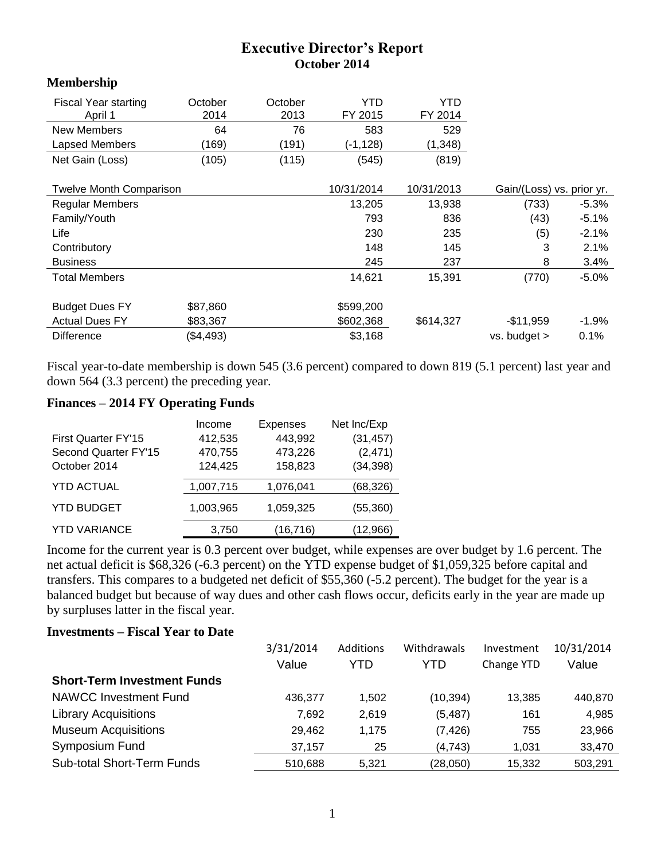## **Executive Director's Report October 2014**

## **Membership**

| <b>Fiscal Year starting</b>    | October   | October | YTD.       | YTD        |                           |          |
|--------------------------------|-----------|---------|------------|------------|---------------------------|----------|
| April 1                        | 2014      | 2013    | FY 2015    | FY 2014    |                           |          |
| <b>New Members</b>             | 64        | 76      | 583        | 529        |                           |          |
| Lapsed Members                 | (169)     | (191)   | (-1,128)   | (1, 348)   |                           |          |
| Net Gain (Loss)                | (105)     | (115)   | (545)      | (819)      |                           |          |
|                                |           |         |            |            |                           |          |
| <b>Twelve Month Comparison</b> |           |         | 10/31/2014 | 10/31/2013 | Gain/(Loss) vs. prior yr. |          |
| <b>Regular Members</b>         |           |         | 13,205     | 13,938     | (733)                     | $-5.3%$  |
| Family/Youth                   |           |         | 793        | 836        | (43)                      | $-5.1\%$ |
| Life                           |           |         | 230        | 235        | (5)                       | $-2.1%$  |
| Contributory                   |           |         | 148        | 145        | 3                         | 2.1%     |
| <b>Business</b>                |           |         | 245        | 237        | 8                         | 3.4%     |
| <b>Total Members</b>           |           |         | 14,621     | 15,391     | (770)                     | $-5.0\%$ |
| <b>Budget Dues FY</b>          | \$87,860  |         | \$599,200  |            |                           |          |
| <b>Actual Dues FY</b>          | \$83,367  |         | \$602,368  | \$614,327  | $-$11,959$                | $-1.9\%$ |
| <b>Difference</b>              | (\$4,493) |         | \$3,168    |            | vs. budget >              | 0.1%     |

Fiscal year-to-date membership is down 545 (3.6 percent) compared to down 819 (5.1 percent) last year and down 564 (3.3 percent) the preceding year.

## **Finances – 2014 FY Operating Funds**

|                      | Income    | <b>Expenses</b> | Net Inc/Exp |
|----------------------|-----------|-----------------|-------------|
| First Quarter FY'15  | 412,535   | 443,992         | (31, 457)   |
| Second Quarter FY'15 | 470,755   | 473,226         | (2, 471)    |
| October 2014         | 124,425   | 158,823         | (34, 398)   |
| <b>YTD ACTUAL</b>    | 1,007,715 | 1,076,041       | (68, 326)   |
| <b>YTD BUDGET</b>    | 1,003,965 | 1,059,325       | (55, 360)   |
| <b>YTD VARIANCE</b>  | 3,750     | (16, 716)       | (12,966)    |

Income for the current year is 0.3 percent over budget, while expenses are over budget by 1.6 percent. The net actual deficit is \$68,326 (-6.3 percent) on the YTD expense budget of \$1,059,325 before capital and transfers. This compares to a budgeted net deficit of \$55,360 (-5.2 percent). The budget for the year is a balanced budget but because of way dues and other cash flows occur, deficits early in the year are made up by surpluses latter in the fiscal year.

## **Investments – Fiscal Year to Date**

|                                    | 3/31/2014 | Additions | Withdrawals | Investment | 10/31/2014 |
|------------------------------------|-----------|-----------|-------------|------------|------------|
|                                    | Value     | YTD       | YTD         | Change YTD | Value      |
| <b>Short-Term Investment Funds</b> |           |           |             |            |            |
| <b>NAWCC Investment Fund</b>       | 436,377   | 1.502     | (10, 394)   | 13,385     | 440,870    |
| <b>Library Acquisitions</b>        | 7.692     | 2.619     | (5, 487)    | 161        | 4,985      |
| <b>Museum Acquisitions</b>         | 29,462    | 1.175     | (7, 426)    | 755        | 23,966     |
| Symposium Fund                     | 37.157    | 25        | (4,743)     | 1,031      | 33,470     |
| <b>Sub-total Short-Term Funds</b>  | 510.688   | 5.321     | (28,050)    | 15,332     | 503,291    |